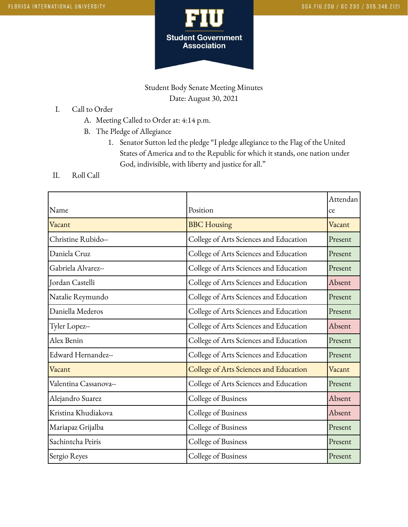

Student Body Senate Meeting Minutes Date: August 30, 2021

- I. Call to Order
	- A. Meeting Called to Order at: 4:14 p.m.
	- B. The Pledge of Allegiance
		- 1. Senator Sutton led the pledge "I pledge allegiance to the Flag of the United States of America and to the Republic for which it stands, one nation under God, indivisible, with liberty and justice for all."
- II. Roll Call

|                       |                                        | Attendan |
|-----------------------|----------------------------------------|----------|
| Name                  | Position                               | ce       |
| Vacant                | <b>BBC</b> Housing                     | Vacant   |
| Christine Rubido--    | College of Arts Sciences and Education | Present  |
| Daniela Cruz          | College of Arts Sciences and Education | Present  |
| Gabriela Alvarez--    | College of Arts Sciences and Education | Present  |
| Jordan Castelli       | College of Arts Sciences and Education | Absent   |
| Natalie Reymundo      | College of Arts Sciences and Education | Present  |
| Daniella Mederos      | College of Arts Sciences and Education | Present  |
| Tyler Lopez--         | College of Arts Sciences and Education | Absent   |
| Alex Benin            | College of Arts Sciences and Education | Present  |
| Edward Hernandez--    | College of Arts Sciences and Education | Present  |
| Vacant                | College of Arts Sciences and Education | Vacant   |
| Valentina Cassanova-- | College of Arts Sciences and Education | Present  |
| Alejandro Suarez      | College of Business                    | Absent   |
| Kristina Khudiakova   | College of Business                    | Absent   |
| Mariapaz Grijalba     | College of Business                    | Present  |
| Sachintcha Peiris     | College of Business                    | Present  |
| Sergio Reyes          | College of Business                    | Present  |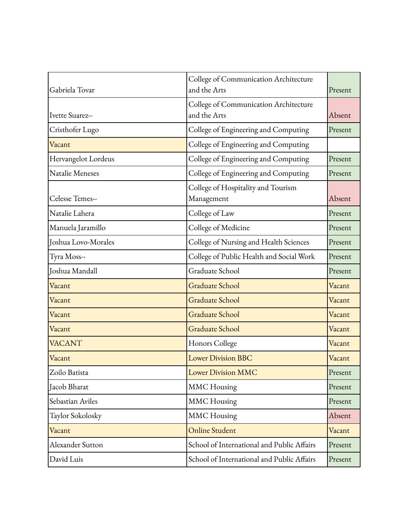| Gabriela Tovar      | College of Communication Architecture<br>and the Arts | Present |
|---------------------|-------------------------------------------------------|---------|
|                     | College of Communication Architecture                 |         |
| Ivette Suarez--     | and the Arts                                          | Absent  |
| Cristhofer Lugo     | College of Engineering and Computing                  | Present |
| Vacant              | College of Engineering and Computing                  |         |
| Hervangelot Lordeus | College of Engineering and Computing                  | Present |
| Natalie Meneses     | College of Engineering and Computing                  | Present |
|                     | College of Hospitality and Tourism                    |         |
| Celesse Temes--     | Management                                            | Absent  |
| Natalie Lahera      | College of Law                                        | Present |
| Manuela Jaramillo   | College of Medicine                                   | Present |
| Joshua Lovo-Morales | College of Nursing and Health Sciences                | Present |
| Tyra Moss--         | College of Public Health and Social Work              | Present |
| Joshua Mandall      | Graduate School                                       | Present |
| Vacant              | <b>Graduate School</b>                                | Vacant  |
| Vacant              | <b>Graduate School</b>                                | Vacant  |
| Vacant              | <b>Graduate School</b>                                | Vacant  |
| Vacant              | <b>Graduate School</b>                                | Vacant  |
| <b>VACANT</b>       | Honors College                                        | Vacant  |
| Vacant              | <b>Lower Division BBC</b>                             | Vacant  |
| Zoilo Batista       | <b>Lower Division MMC</b>                             | Present |
| Jacob Bharat        | <b>MMC</b> Housing                                    | Present |
| Sebastian Aviles    | <b>MMC</b> Housing                                    | Present |
| Taylor Sokolosky    | <b>MMC</b> Housing                                    | Absent  |
| Vacant              | <b>Online Student</b>                                 | Vacant  |
| Alexander Sutton    | School of International and Public Affairs            | Present |
| David Luis          | School of International and Public Affairs            | Present |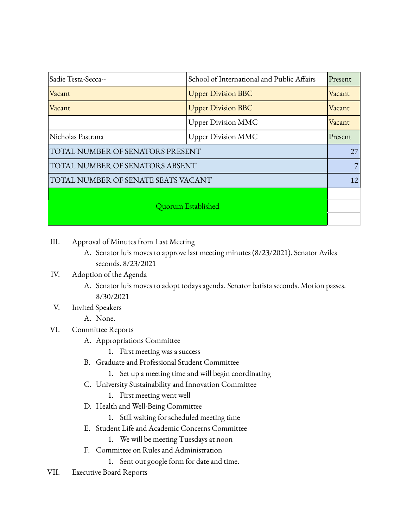| Sadie Testa-Secca--                 | School of International and Public Affairs | Present |
|-------------------------------------|--------------------------------------------|---------|
| Vacant                              | <b>Upper Division BBC</b>                  | Vacant  |
| Vacant                              | <b>Upper Division BBC</b>                  | Vacant  |
|                                     | <b>Upper Division MMC</b>                  | Vacant  |
| Nicholas Pastrana                   | <b>Upper Division MMC</b>                  | Present |
| TOTAL NUMBER OF SENATORS PRESENT    |                                            | 27      |
| TOTAL NUMBER OF SENATORS ABSENT     |                                            |         |
| TOTAL NUMBER OF SENATE SEATS VACANT |                                            | 12      |
| Quorum Established                  |                                            |         |

- III. Approval of Minutes from Last Meeting
	- A. Senator luis moves to approve last meeting minutes (8/23/2021). Senator Aviles seconds. 8/23/2021

## IV. Adoption of the Agenda

- A. Senator luis moves to adopt todays agenda. Senator batista seconds. Motion passes. 8/30/2021
- V. Invited Speakers
	- A. None.

## VI. Committee Reports

- A. Appropriations Committee
	- 1. First meeting was a success
- B. Graduate and Professional Student Committee
	- 1. Set up a meeting time and will begin coordinating
- C. University Sustainability and Innovation Committee
	- 1. First meeting went well
- D. Health and Well-Being Committee
	- 1. Still waiting for scheduled meeting time
- E. Student Life and Academic Concerns Committee
	- 1. We will be meeting Tuesdays at noon
- F. Committee on Rules and Administration
	- 1. Sent out google form for date and time.
- VII. Executive Board Reports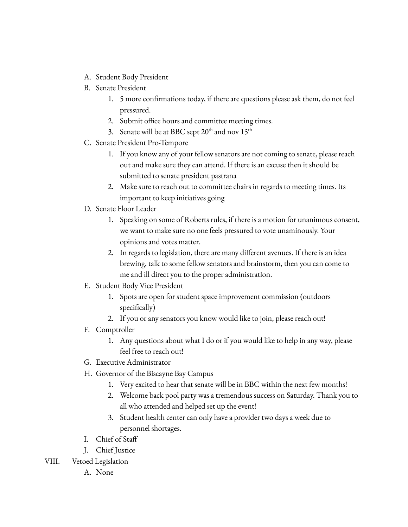- A. Student Body President
- B. Senate President
	- 1. 5 more confirmations today, if there are questions please ask them, do not feel pressured.
	- 2. Submit office hours and committee meeting times.
	- 3. Senate will be at BBC sept  $20^{\text{th}}$  and nov  $15^{\text{th}}$
- C. Senate President Pro-Tempore
	- 1. If you know any of your fellow senators are not coming to senate, please reach out and make sure they can attend. If there is an excuse then it should be submitted to senate president pastrana
	- 2. Make sure to reach out to committee chairs in regards to meeting times. Its important to keep initiatives going
- D. Senate Floor Leader
	- 1. Speaking on some of Roberts rules, if there is a motion for unanimous consent, we want to make sure no one feels pressured to vote unaminously. Your opinions and votes matter.
	- 2. In regards to legislation, there are many different avenues. If there is an idea brewing, talk to some fellow senators and brainstorm, then you can come to me and ill direct you to the proper administration.
- E. Student Body Vice President
	- 1. Spots are open for student space improvement commission (outdoors specifically)
	- 2. If you or any senators you know would like to join, please reach out!
- F. Comptroller
	- 1. Any questions about what I do or if you would like to help in any way, please feel free to reach out!
- G. Executive Administrator
- H. Governor of the Biscayne Bay Campus
	- 1. Very excited to hear that senate will be in BBC within the next few months!
	- 2. Welcome back pool party was a tremendous success on Saturday. Thank you to all who attended and helped set up the event!
	- 3. Student health center can only have a provider two days a week due to personnel shortages.
- I. Chief of Staff
- J. Chief Justice
- VIII. Vetoed Legislation
	- A. None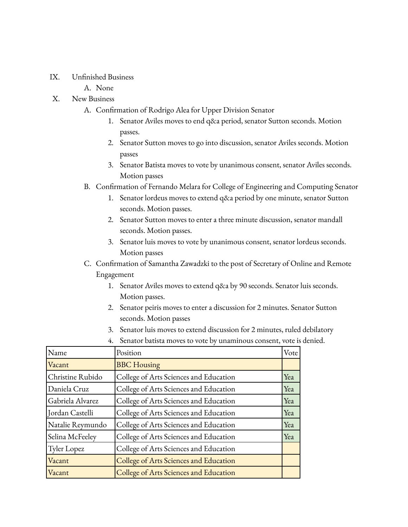- IX. Unfinished Business
	- A. None

## X. New Business

- A. Confirmation of Rodrigo Alea for Upper Division Senator
	- 1. Senator Aviles moves to end q&a period, senator Sutton seconds. Motion passes.
	- 2. Senator Sutton moves to go into discussion, senator Aviles seconds. Motion passes
	- 3. Senator Batista moves to vote by unanimous consent, senator Aviles seconds. Motion passes
- B. Confirmation of Fernando Melara for College of Engineering and Computing Senator
	- 1. Senator lordeus moves to extend q&a period by one minute, senator Sutton seconds. Motion passes.
	- 2. Senator Sutton moves to enter a three minute discussion, senator mandall seconds. Motion passes.
	- 3. Senator luis moves to vote by unanimous consent, senator lordeus seconds. Motion passes
- C. Confirmation of Samantha Zawadzki to the post of Secretary of Online and Remote Engagement
	- 1. Senator Aviles moves to extend q&a by 90 seconds. Senator luis seconds. Motion passes.
	- 2. Senator peiris moves to enter a discussion for 2 minutes. Senator Sutton seconds. Motion passes
	- 3. Senator luis moves to extend discussion for 2 minutes, ruled debilatory
	- 4. Senator batista moves to vote by unaminous consent, vote is denied.

| Name             | Position                               | Vote |
|------------------|----------------------------------------|------|
| Vacant           | <b>BBC</b> Housing                     |      |
| Christine Rubido | College of Arts Sciences and Education | Yea  |
| Daniela Cruz     | College of Arts Sciences and Education | Yea  |
| Gabriela Alvarez | College of Arts Sciences and Education | Yea  |
| Jordan Castelli  | College of Arts Sciences and Education | Yea  |
| Natalie Reymundo | College of Arts Sciences and Education | Yea  |
| Selina McFeeley  | College of Arts Sciences and Education | Yea  |
| Tyler Lopez      | College of Arts Sciences and Education |      |
| Vacant           | College of Arts Sciences and Education |      |
| Vacant           | College of Arts Sciences and Education |      |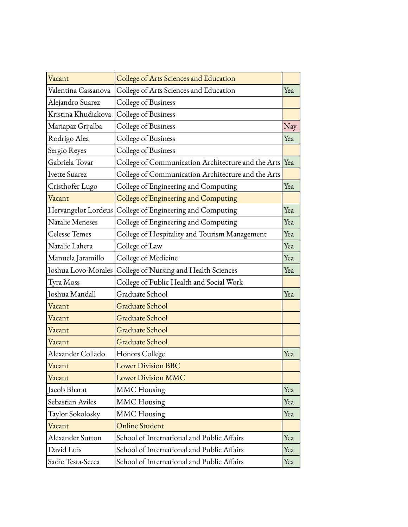| Vacant               | College of Arts Sciences and Education                 |     |
|----------------------|--------------------------------------------------------|-----|
| Valentina Cassanova  | College of Arts Sciences and Education                 | Yea |
| Alejandro Suarez     | College of Business                                    |     |
| Kristina Khudiakova  | College of Business                                    |     |
| Mariapaz Grijalba    | College of Business                                    | Nay |
| Rodrigo Alea         | College of Business                                    | Yea |
| Sergio Reyes         | College of Business                                    |     |
| Gabriela Tovar       | College of Communication Architecture and the Arts Yea |     |
| Ivette Suarez        | College of Communication Architecture and the Arts     |     |
| Cristhofer Lugo      | College of Engineering and Computing                   | Yea |
| Vacant               | College of Engineering and Computing                   |     |
| Hervangelot Lordeus  | College of Engineering and Computing                   | Yea |
| Natalie Meneses      | College of Engineering and Computing                   | Yea |
| <b>Celesse Temes</b> | College of Hospitality and Tourism Management          | Yea |
| Natalie Lahera       | College of Law                                         | Yea |
| Manuela Jaramillo    | College of Medicine                                    | Yea |
| Joshua Lovo-Morales  | College of Nursing and Health Sciences                 | Yea |
| Tyra Moss            | College of Public Health and Social Work               |     |
| Joshua Mandall       | Graduate School                                        | Yea |
| Vacant               | <b>Graduate School</b>                                 |     |
| Vacant               | <b>Graduate School</b>                                 |     |
| Vacant               | <b>Graduate School</b>                                 |     |
| Vacant               | <b>Graduate School</b>                                 |     |
| Alexander Collado    | Honors College                                         | Yea |
| Vacant               | <b>Lower Division BBC</b>                              |     |
| Vacant               | <b>Lower Division MMC</b>                              |     |
| Jacob Bharat         | <b>MMC</b> Housing                                     | Yea |
| Sebastian Aviles     | <b>MMC</b> Housing                                     | Yea |
| Taylor Sokolosky     | <b>MMC</b> Housing                                     | Yea |
| Vacant               | <b>Online Student</b>                                  |     |
| Alexander Sutton     | School of International and Public Affairs             | Yea |
| David Luis           | School of International and Public Affairs             | Yea |
| Sadie Testa-Secca    | School of International and Public Affairs             | Yea |